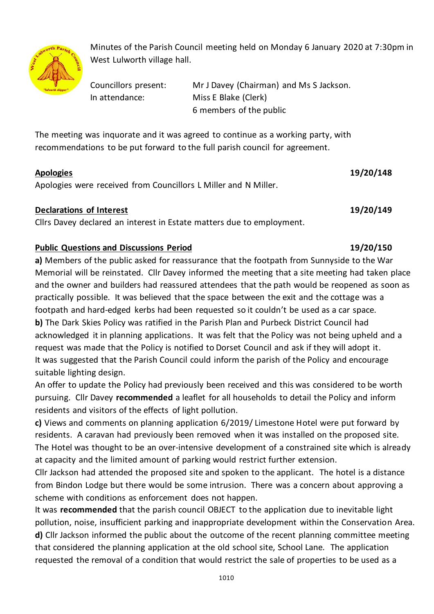

Minutes of the Parish Council meeting held on Monday 6 January 2020 at 7:30pm in West Lulworth village hall.

Councillors present: Mr J Davey (Chairman) and Ms S Jackson. In attendance: Miss E Blake (Clerk) 6 members of the public

The meeting was inquorate and it was agreed to continue as a working party, with recommendations to be put forward to the full parish council for agreement.

## **Apologies 19/20/148**

Apologies were received from Councillors L Miller and N Miller.

# **Declarations of Interest 19/20/149**

Cllrs Davey declared an interest in Estate matters due to employment.

# **Public Questions and Discussions Period 19/20/150**

**a)** Members of the public asked for reassurance that the footpath from Sunnyside to the War Memorial will be reinstated. Cllr Davey informed the meeting that a site meeting had taken place and the owner and builders had reassured attendees that the path would be reopened as soon as practically possible. It was believed that the space between the exit and the cottage was a footpath and hard-edged kerbs had been requested so it couldn't be used as a car space. **b)** The Dark Skies Policy was ratified in the Parish Plan and Purbeck District Council had acknowledged it in planning applications. It was felt that the Policy was not being upheld and a request was made that the Policy is notified to Dorset Council and ask if they will adopt it. It was suggested that the Parish Council could inform the parish of the Policy and encourage suitable lighting design.

An offer to update the Policy had previously been received and this was considered to be worth pursuing. Cllr Davey **recommended** a leaflet for all households to detail the Policy and inform residents and visitors of the effects of light pollution.

**c)** Views and comments on planning application 6/2019/ Limestone Hotel were put forward by residents. A caravan had previously been removed when it was installed on the proposed site. The Hotel was thought to be an over-intensive development of a constrained site which is already at capacity and the limited amount of parking would restrict further extension.

Cllr Jackson had attended the proposed site and spoken to the applicant. The hotel is a distance from Bindon Lodge but there would be some intrusion. There was a concern about approving a scheme with conditions as enforcement does not happen.

It was **recommended** that the parish council OBJECT to the application due to inevitable light pollution, noise, insufficient parking and inappropriate development within the Conservation Area. **d)** Cllr Jackson informed the public about the outcome of the recent planning committee meeting that considered the planning application at the old school site, School Lane. The application requested the removal of a condition that would restrict the sale of properties to be used as a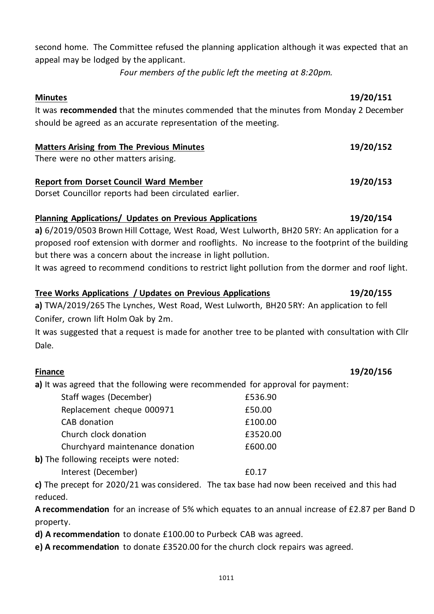second home. The Committee refused the planning application although it was expected that an appeal may be lodged by the applicant.

*Four members of the public left the meeting at 8:20pm.*

It was **recommended** that the minutes commended that the minutes from Monday 2 December should be agreed as an accurate representation of the meeting.

### **Matters Arising from The Previous Minutes 19/20/152**

There were no other matters arising.

### **Report from Dorset Council Ward Member 19/20/153**

Dorset Councillor reports had been circulated earlier.

### **Planning Applications/ Updates on Previous Applications 19/20/154**

**a)** 6/2019/0503 Brown Hill Cottage, West Road, West Lulworth, BH20 5RY: An application for a proposed roof extension with dormer and rooflights. No increase to the footprint of the building but there was a concern about the increase in light pollution.

It was agreed to recommend conditions to restrict light pollution from the dormer and roof light.

# **Tree Works Applications / Updates on Previous Applications 19/20/155 a)** TWA/2019/265 The Lynches, West Road, West Lulworth, BH20 5RY: An application to fell Conifer, crown lift Holm Oak by 2m.

It was suggested that a request is made for another tree to be planted with consultation with Cllr Dale.

**a)** It was agreed that the following were recommended for approval for payment:

| Staff wages (December)                | £536.90  |
|---------------------------------------|----------|
| Replacement cheque 000971             | £50.00   |
| CAB donation                          | £100.00  |
| Church clock donation                 | £3520.00 |
| Churchyard maintenance donation       | £600.00  |
| b) The following receipts were noted: |          |

Interest (December) 60.17

**c)** The precept for 2020/21 was considered. The tax base had now been received and this had reduced.

**A recommendation** for an increase of 5% which equates to an annual increase of £2.87 per Band D property.

**d) A recommendation** to donate £100.00 to Purbeck CAB was agreed.

**e) A recommendation** to donate £3520.00 for the church clock repairs was agreed.

# **Minutes 19/20/151**

### **Finance 19/20/156**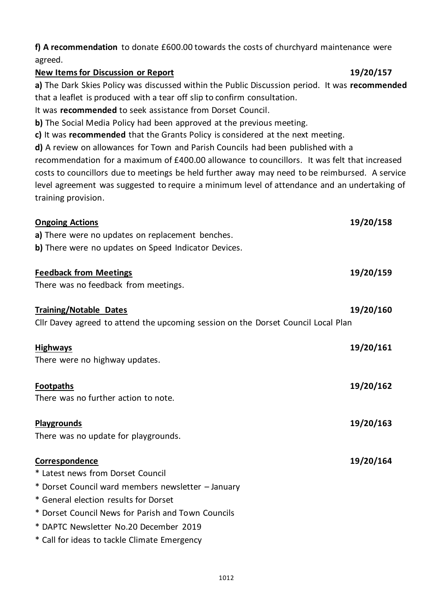# **f) A recommendation** to donate £600.00 towards the costs of churchyard maintenance were agreed.

### **New Items for Discussion or Report 19/20/157**

**a)** The Dark Skies Policy was discussed within the Public Discussion period. It was **recommended** that a leaflet is produced with a tear off slip to confirm consultation.

It was **recommended** to seek assistance from Dorset Council.

**b)** The Social Media Policy had been approved at the previous meeting.

**c)** It was **recommended** that the Grants Policy is considered at the next meeting.

**d)** A review on allowances for Town and Parish Councils had been published with a

recommendation for a maximum of £400.00 allowance to councillors. It was felt that increased costs to councillors due to meetings be held further away may need to be reimbursed. A service level agreement was suggested to require a minimum level of attendance and an undertaking of training provision.

| <b>Ongoing Actions</b>                                                            | 19/20/158 |
|-----------------------------------------------------------------------------------|-----------|
| a) There were no updates on replacement benches.                                  |           |
| b) There were no updates on Speed Indicator Devices.                              |           |
| <b>Feedback from Meetings</b>                                                     | 19/20/159 |
| There was no feedback from meetings.                                              |           |
| <b>Training/Notable Dates</b>                                                     | 19/20/160 |
| Cllr Davey agreed to attend the upcoming session on the Dorset Council Local Plan |           |
| <b>Highways</b>                                                                   | 19/20/161 |
| There were no highway updates.                                                    |           |
| <b>Footpaths</b>                                                                  | 19/20/162 |
| There was no further action to note.                                              |           |
| Playgrounds                                                                       | 19/20/163 |
| There was no update for playgrounds.                                              |           |
| Correspondence                                                                    | 19/20/164 |
| * Latest news from Dorset Council                                                 |           |
| * Dorset Council ward members newsletter - January                                |           |
| * General election results for Dorset                                             |           |
| * Dorset Council News for Parish and Town Councils                                |           |
| * DAPTC Newsletter No.20 December 2019                                            |           |
| * Call for ideas to tackle Climate Emergency                                      |           |
|                                                                                   |           |